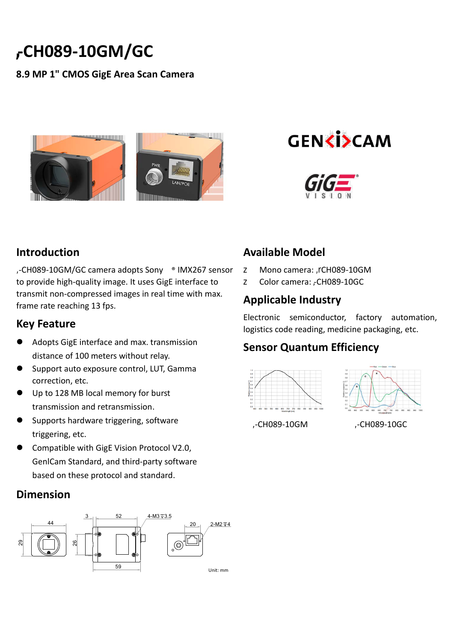# **-CH089-10GM/GC**

#### **8.9 MP 1" CMOS GigE Area Scan Camera**





#### **Introduction**

**,**-CH089-10GM/GC camera adopts Sony ® IMX267 sensor to provide high-quality image. It uses GigE interface to transmit non-compressed images in real time with max. frame rate reaching 13 fps.

#### **Key Feature**

- Adopts GigE interface and max. transmission distance of 100 meters without relay.
- **Support auto exposure control, LUT, Gamma** correction, etc.
- Up to 128 MB local memory for burst transmission and retransmission.
- Supports hardware triggering, software triggering, etc.
- **Compatible with GigE Vision Protocol V2.0,** GenlCam Standard, and third-party software based on these protocol and standard.

## **Dimension**



# **Available Model**

- **z** Mono camera: HC-CH089-10GM
- Y Color camera: HC-CH089-10GC

## **Applicable Industry**

Electronic semiconductor, factory automation, logistics code reading, medicine packaging, etc.

## **Sensor Quantum Efficiency**





HC-CH089-10GM HC-CH089-10GC